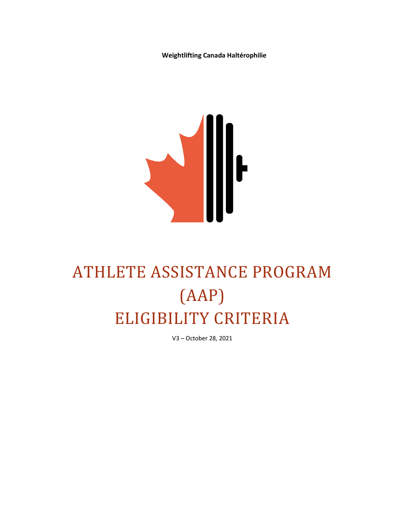**Weightlifting Canada Haltérophilie**



# ATHLETE ASSISTANCE PROGRAM (AAP) ELIGIBILITY CRITERIA

V3 – October 28, 2021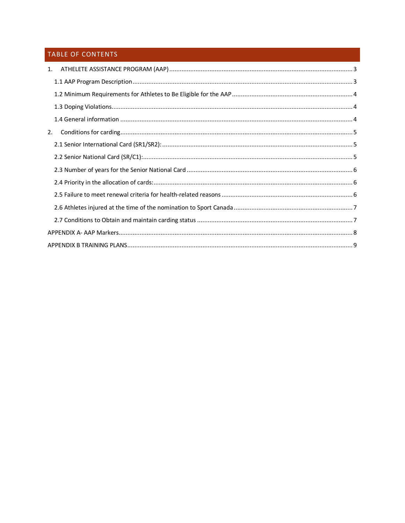## TABLE OF CONTENTS

| 1. |                                                                                                                                                                                                                                                                                                                                                                                                                                                                                                             |  |
|----|-------------------------------------------------------------------------------------------------------------------------------------------------------------------------------------------------------------------------------------------------------------------------------------------------------------------------------------------------------------------------------------------------------------------------------------------------------------------------------------------------------------|--|
|    |                                                                                                                                                                                                                                                                                                                                                                                                                                                                                                             |  |
|    |                                                                                                                                                                                                                                                                                                                                                                                                                                                                                                             |  |
|    |                                                                                                                                                                                                                                                                                                                                                                                                                                                                                                             |  |
|    |                                                                                                                                                                                                                                                                                                                                                                                                                                                                                                             |  |
| 2. | $\begin{minipage}[c]{0.9\linewidth} \label{fig:1} \begin{minipage}[c]{0.9\linewidth} \end{minipage}[c]{0.9\linewidth} \label{fig:1} \begin{minipage}[c]{0.9\linewidth} \end{minipage}[c]{0.9\linewidth} \begin{minipage}[c]{0.9\linewidth} \end{minipage}[c]{0.9\linewidth} \end{minipage}[c]{0.9\linewidth} \begin{minipage}[c]{0.9\linewidth} \end{minipage}[c]{0.9\linewidth} \end{minipage}[c]{0.9\linewidth} \begin{minipage}[c]{0.9\linewidth} \end{minipage}[c]{0.9\linewidth} \end{minipage}[c]{0.$ |  |
|    |                                                                                                                                                                                                                                                                                                                                                                                                                                                                                                             |  |
|    |                                                                                                                                                                                                                                                                                                                                                                                                                                                                                                             |  |
|    |                                                                                                                                                                                                                                                                                                                                                                                                                                                                                                             |  |
|    |                                                                                                                                                                                                                                                                                                                                                                                                                                                                                                             |  |
|    |                                                                                                                                                                                                                                                                                                                                                                                                                                                                                                             |  |
|    |                                                                                                                                                                                                                                                                                                                                                                                                                                                                                                             |  |
|    |                                                                                                                                                                                                                                                                                                                                                                                                                                                                                                             |  |
|    |                                                                                                                                                                                                                                                                                                                                                                                                                                                                                                             |  |
|    |                                                                                                                                                                                                                                                                                                                                                                                                                                                                                                             |  |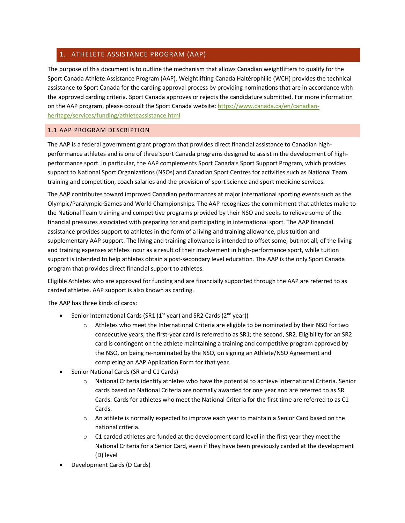## <span id="page-2-0"></span>1. ATHELETE ASSISTANCE PROGRAM (AAP)

The purpose of this document is to outline the mechanism that allows Canadian weightlifters to qualify for the Sport Canada Athlete Assistance Program (AAP). Weightlifting Canada Haltérophilie (WCH) provides the technical assistance to Sport Canada for the carding approval process by providing nominations that are in accordance with the approved carding criteria. Sport Canada approves or rejects the candidature submitted. For more information on the AAP program, please consult the Sport Canada website: [https://www.canada.ca/en/canadian](https://www.canada.ca/en/canadian-heritage/services/funding/athleteassistance.html)[heritage/services/funding/athleteassistance.html](https://www.canada.ca/en/canadian-heritage/services/funding/athleteassistance.html)

## <span id="page-2-1"></span>1.1 AAP PROGRAM DESCRIPTION

The AAP is a federal government grant program that provides direct financial assistance to Canadian highperformance athletes and is one of three Sport Canada programs designed to assist in the development of highperformance sport. In particular, the AAP complements Sport Canada's Sport Support Program, which provides support to National Sport Organizations (NSOs) and Canadian Sport Centres for activities such as National Team training and competition, coach salaries and the provision of sport science and sport medicine services.

The AAP contributes toward improved Canadian performances at major international sporting events such as the Olympic/Paralympic Games and World Championships. The AAP recognizes the commitment that athletes make to the National Team training and competitive programs provided by their NSO and seeks to relieve some of the financial pressures associated with preparing for and participating in international sport. The AAP financial assistance provides support to athletes in the form of a living and training allowance, plus tuition and supplementary AAP support. The living and training allowance is intended to offset some, but not all, of the living and training expenses athletes incur as a result of their involvement in high-performance sport, while tuition support is intended to help athletes obtain a post-secondary level education. The AAP is the only Sport Canada program that provides direct financial support to athletes.

Eligible Athletes who are approved for funding and are financially supported through the AAP are referred to as carded athletes. AAP support is also known as carding.

The AAP has three kinds of cards:

- Senior International Cards (SR1 (1<sup>st</sup> year) and SR2 Cards (2<sup>nd</sup> year))
	- $\circ$  Athletes who meet the International Criteria are eligible to be nominated by their NSO for two consecutive years; the first-year card is referred to as SR1; the second, SR2. Eligibility for an SR2 card is contingent on the athlete maintaining a training and competitive program approved by the NSO, on being re-nominated by the NSO, on signing an Athlete/NSO Agreement and completing an AAP Application Form for that year.
- Senior National Cards (SR and C1 Cards)
	- $\circ$  National Criteria identify athletes who have the potential to achieve International Criteria. Senior cards based on National Criteria are normally awarded for one year and are referred to as SR Cards. Cards for athletes who meet the National Criteria for the first time are referred to as C1 Cards.
	- $\circ$  An athlete is normally expected to improve each year to maintain a Senior Card based on the national criteria.
	- $\circ$  C1 carded athletes are funded at the development card level in the first year they meet the National Criteria for a Senior Card, even if they have been previously carded at the development (D) level
- Development Cards (D Cards)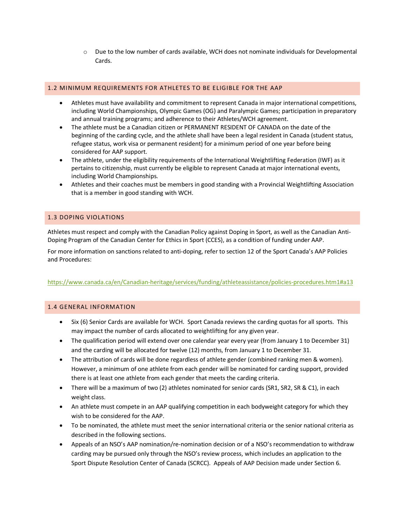$\circ$  Due to the low number of cards available, WCH does not nominate individuals for Developmental Cards.

## <span id="page-3-0"></span>1.2 MINIMUM REQUIREMENTS FOR ATHLETES TO BE ELIGIBLE FOR THE AAP

- Athletes must have availability and commitment to represent Canada in major international competitions, including World Championships, Olympic Games (OG) and Paralympic Games; participation in preparatory and annual training programs; and adherence to their Athletes/WCH agreement.
- The athlete must be a Canadian citizen or PERMANENT RESIDENT OF CANADA on the date of the beginning of the carding cycle, and the athlete shall have been a legal resident in Canada (student status, refugee status, work visa or permanent resident) for a minimum period of one year before being considered for AAP support.
- The athlete, under the eligibility requirements of the International Weightlifting Federation (IWF) as it pertains to citizenship, must currently be eligible to represent Canada at major international events, including World Championships.
- Athletes and their coaches must be members in good standing with a Provincial Weightlifting Association that is a member in good standing with WCH.

## <span id="page-3-1"></span>1.3 DOPING VIOLATIONS

Athletes must respect and comply with the Canadian Policy against Doping in Sport, as well as the Canadian Anti-Doping Program of the Canadian Center for Ethics in Sport (CCES), as a condition of funding under AAP.

For more information on sanctions related to anti-doping, refer to section 12 of the Sport Canada's AAP Policies and Procedures:

### <https://www.canada.ca/en/Canadian-heritage/services/funding/athleteassistance/policies-procedures.htm1#a13>

### <span id="page-3-2"></span>1.4 GENERAL INFORMATION

- Six (6) Senior Cards are available for WCH. Sport Canada reviews the carding quotas for all sports. This may impact the number of cards allocated to weightlifting for any given year.
- The qualification period will extend over one calendar year every year (from January 1 to December 31) and the carding will be allocated for twelve (12) months, from January 1 to December 31.
- The attribution of cards will be done regardless of athlete gender (combined ranking men & women). However, a minimum of one athlete from each gender will be nominated for carding support, provided there is at least one athlete from each gender that meets the carding criteria.
- There will be a maximum of two (2) athletes nominated for senior cards (SR1, SR2, SR & C1), in each weight class.
- An athlete must compete in an AAP qualifying competition in each bodyweight category for which they wish to be considered for the AAP.
- To be nominated, the athlete must meet the senior international criteria or the senior national criteria as described in the following sections.
- Appeals of an NSO's AAP nomination/re-nomination decision or of a NSO's recommendation to withdraw carding may be pursued only through the NSO's review process, which includes an application to the Sport Dispute Resolution Center of Canada (SCRCC). Appeals of AAP Decision made under Section 6.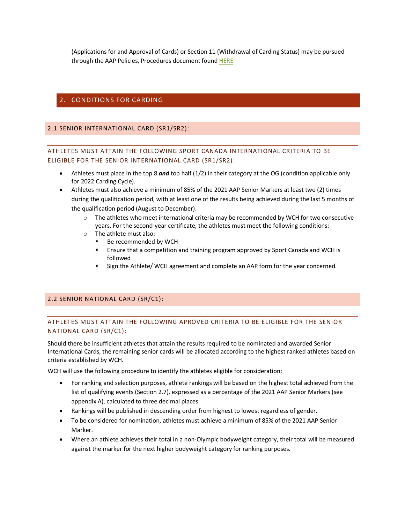(Applications for and Approval of Cards) or Section 11 (Withdrawal of Carding Status) may be pursued through the AAP Policies, Procedures document found HERE

## <span id="page-4-0"></span>2. CONDITIONS FOR CARDING

## <span id="page-4-1"></span>2.1 SENIOR INTERNATIONAL CARD (SR1/SR2):

## ATHLETES MUST ATTAIN THE FOLLOWING SPORT CANADA INTERNATIONAL CRITERIA TO BE ELIGIBLE FOR THE SENIOR INTERNATIONAL CARD (SR1/SR2):

- Athletes must place in the top 8 *and* top half (1/2) in their category at the OG (condition applicable only for 2022 Carding Cycle).
- Athletes must also achieve a minimum of 85% of the 2021 AAP Senior Markers at least two (2) times during the qualification period, with at least one of the results being achieved during the last 5 months of the qualification period (August to December).
	- $\circ$  The athletes who meet international criteria may be recommended by WCH for two consecutive years. For the second-year certificate, the athletes must meet the following conditions:
	- o The athlete must also:
		- Be recommended by WCH
		- **Ensure that a competition and training program approved by Sport Canada and WCH is** followed
		- Sign the Athlete/ WCH agreement and complete an AAP form for the year concerned.

### <span id="page-4-2"></span>2.2 SENIOR NATIONAL CARD (SR/C1):

## ATHLETES MUST ATTAIN THE FOLLOWING APROVED CRITERIA TO BE ELIGIBLE FOR THE SENIOR NATIONAL CARD (SR/C1):

Should there be insufficient athletes that attain the results required to be nominated and awarded Senior International Cards, the remaining senior cards will be allocated according to the highest ranked athletes based on criteria established by WCH.

WCH will use the following procedure to identify the athletes eligible for consideration:

- For ranking and selection purposes, athlete rankings will be based on the highest total achieved from the list of qualifying events (Section 2.7), expressed as a percentage of the 2021 AAP Senior Markers (see appendix A), calculated to three decimal places.
- Rankings will be published in descending order from highest to lowest regardless of gender.
- To be considered for nomination, athletes must achieve a minimum of 85% of the 2021 AAP Senior Marker.
- Where an athlete achieves their total in a non-Olympic bodyweight category, their total will be measured against the marker for the next higher bodyweight category for ranking purposes.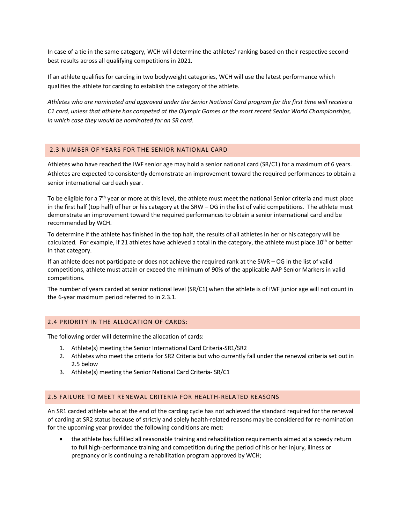In case of a tie in the same category, WCH will determine the athletes' ranking based on their respective secondbest results across all qualifying competitions in 2021.

If an athlete qualifies for carding in two bodyweight categories, WCH will use the latest performance which qualifies the athlete for carding to establish the category of the athlete.

*Athletes who are nominated and approved under the Senior National Card program for the first time will receive a C1 card, unless that athlete has competed at the Olympic Games or the most recent Senior World Championships, in which case they would be nominated for an SR card.*

#### <span id="page-5-0"></span>2.3 NUMBER OF YEARS FOR THE SENIOR NATIONAL CARD

Athletes who have reached the IWF senior age may hold a senior national card (SR/C1) for a maximum of 6 years. Athletes are expected to consistently demonstrate an improvement toward the required performances to obtain a senior international card each year.

To be eligible for a 7<sup>th</sup> year or more at this level, the athlete must meet the national Senior criteria and must place in the first half (top half) of her or his category at the SRW – OG in the list of valid competitions. The athlete must demonstrate an improvement toward the required performances to obtain a senior international card and be recommended by WCH.

To determine if the athlete has finished in the top half, the results of all athletes in her or his category will be calculated. For example, if 21 athletes have achieved a total in the category, the athlete must place  $10^{th}$  or better in that category.

If an athlete does not participate or does not achieve the required rank at the SWR – OG in the list of valid competitions, athlete must attain or exceed the minimum of 90% of the applicable AAP Senior Markers in valid competitions.

The number of years carded at senior national level (SR/C1) when the athlete is of IWF junior age will not count in the 6-year maximum period referred to in 2.3.1.

#### <span id="page-5-1"></span>2.4 PRIORITY IN THE ALLOCATION OF CARDS:

The following order will determine the allocation of cards:

- 1. Athlete(s) meeting the Senior International Card Criteria-SR1/SR2
- 2. Athletes who meet the criteria for SR2 Criteria but who currently fall under the renewal criteria set out in 2.5 below
- 3. Athlete(s) meeting the Senior National Card Criteria- SR/C1

### <span id="page-5-2"></span>2.5 FAILURE TO MEET RENEWAL CRITERIA FOR HEALTH-RELATED REASONS

An SR1 carded athlete who at the end of the carding cycle has not achieved the standard required for the renewal of carding at SR2 status because of strictly and solely health-related reasons may be considered for re-nomination for the upcoming year provided the following conditions are met:

• the athlete has fulfilled all reasonable training and rehabilitation requirements aimed at a speedy return to full high-performance training and competition during the period of his or her injury, illness or pregnancy or is continuing a rehabilitation program approved by WCH;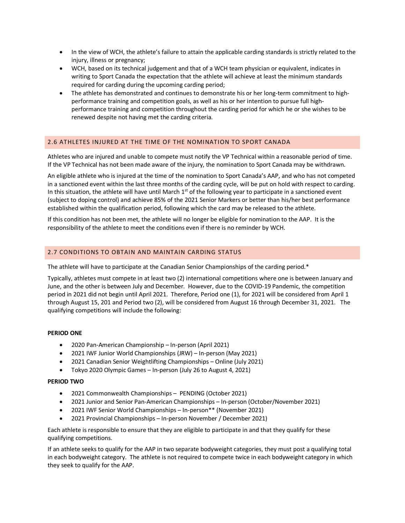- In the view of WCH, the athlete's failure to attain the applicable carding standards is strictly related to the injury, illness or pregnancy;
- WCH, based on its technical judgement and that of a WCH team physician or equivalent, indicates in writing to Sport Canada the expectation that the athlete will achieve at least the minimum standards required for carding during the upcoming carding period;
- The athlete has demonstrated and continues to demonstrate his or her long-term commitment to highperformance training and competition goals, as well as his or her intention to pursue full highperformance training and competition throughout the carding period for which he or she wishes to be renewed despite not having met the carding criteria.

## <span id="page-6-0"></span>2.6 ATHLETES INJURED AT THE TIME OF THE NOMINATION TO SPORT CANADA

Athletes who are injured and unable to compete must notify the VP Technical within a reasonable period of time. If the VP Technical has not been made aware of the injury, the nomination to Sport Canada may be withdrawn.

An eligible athlete who is injured at the time of the nomination to Sport Canada's AAP, and who has not competed in a sanctioned event within the last three months of the carding cycle, will be put on hold with respect to carding. In this situation, the athlete will have until March  $1<sup>st</sup>$  of the following year to participate in a sanctioned event (subject to doping control) and achieve 85% of the 2021 Senior Markers or better than his/her best performance established within the qualification period, following which the card may be released to the athlete.

If this condition has not been met, the athlete will no longer be eligible for nomination to the AAP. It is the responsibility of the athlete to meet the conditions even if there is no reminder by WCH.

## <span id="page-6-1"></span>2.7 CONDITIONS TO OBTAIN AND MAINTAIN CARDING STATUS

The athlete will have to participate at the Canadian Senior Championships of the carding period.\*

Typically, athletes must compete in at least two (2) international competitions where one is between January and June, and the other is between July and December. However, due to the COVID-19 Pandemic, the competition period in 2021 did not begin until April 2021. Therefore, Period one (1), for 2021 will be considered from April 1 through August 15, 201 and Period two (2), will be considered from August 16 through December 31, 2021. The qualifying competitions will include the following:

### **PERIOD ONE**

- 2020 Pan-American Championship In-person (April 2021)
- 2021 IWF Junior World Championships (JRW) In-person (May 2021)
- 2021 Canadian Senior Weightlifting Championships Online (July 2021)
- Tokyo 2020 Olympic Games In-person (July 26 to August 4, 2021)

#### **PERIOD TWO**

- 2021 Commonwealth Championships PENDING (October 2021)
- 2021 Junior and Senior Pan-American Championships In-person (October/November 2021)
- 2021 IWF Senior World Championships In-person\*\* (November 2021)
- 2021 Provincial Championships In-person November / December 2021)

Each athlete is responsible to ensure that they are eligible to participate in and that they qualify for these qualifying competitions.

If an athlete seeks to qualify for the AAP in two separate bodyweight categories, they must post a qualifying total in each bodyweight category. The athlete is not required to compete twice in each bodyweight category in which they seek to qualify for the AAP.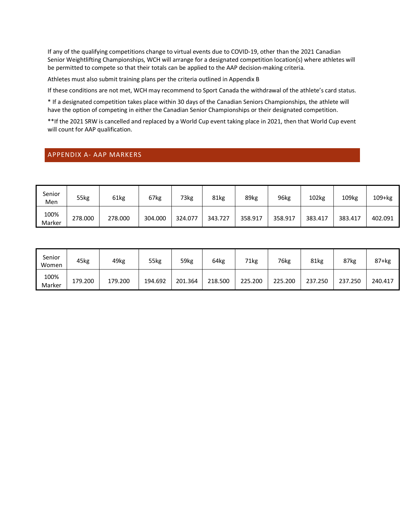If any of the qualifying competitions change to virtual events due to COVID-19, other than the 2021 Canadian Senior Weightlifting Championships, WCH will arrange for a designated competition location(s) where athletes will be permitted to compete so that their totals can be applied to the AAP decision-making criteria.

Athletes must also submit training plans per the criteria outlined in Appendix B

If these conditions are not met, WCH may recommend to Sport Canada the withdrawal of the athlete's card status.

\* If a designated competition takes place within 30 days of the Canadian Seniors Championships, the athlete will have the option of competing in either the Canadian Senior Championships or their designated competition.

\*\*If the 2021 SRW is cancelled and replaced by a World Cup event taking place in 2021, then that World Cup event will count for AAP qualification.

## <span id="page-7-0"></span>APPENDIX A- AAP MARKERS

| Senior<br>Men  | 55kg    | 61kg    | 67kg    | 73kg    | 81kg    | 89kg    | 96kg    | 102kg   | 109kg   | 109+kg  |
|----------------|---------|---------|---------|---------|---------|---------|---------|---------|---------|---------|
| 100%<br>Marker | 278.000 | 278.000 | 304.000 | 324.077 | 343.727 | 358.917 | 358.917 | 383.417 | 383.417 | 402.091 |

| Senior<br>Women | 45kg    | 49kg    | 55kg    | 59kg    | 64kg    | 71kg    | 76kg    | 81kg    | 87kg    | 87+kg   |
|-----------------|---------|---------|---------|---------|---------|---------|---------|---------|---------|---------|
| 100%<br>Marker  | 179.200 | 179.200 | 194.692 | 201.364 | 218.500 | 225.200 | 225.200 | 237.250 | 237.250 | 240.417 |